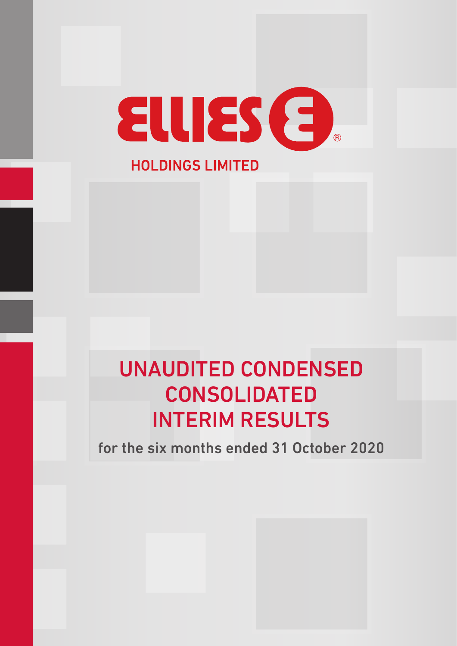

# UNAUDITED CONDENSED CONSOLIDATED INTERIM RESULTS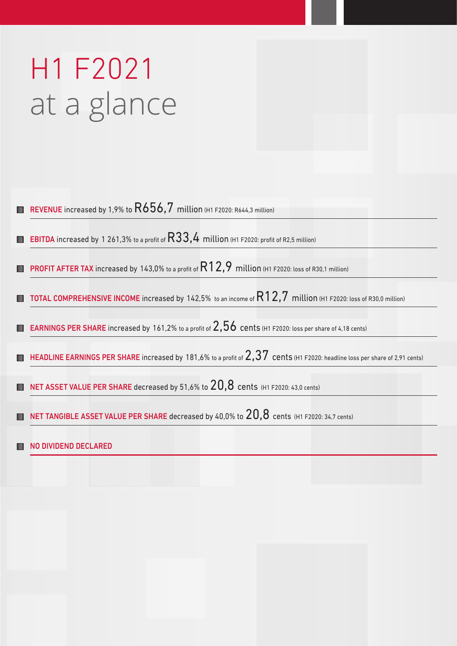# H1 F2021 at a glance

|    | REVENUE increased by 1,9% to $R656,7$ million (H1 F2020: R644,3 million)                                                                      |
|----|-----------------------------------------------------------------------------------------------------------------------------------------------|
| ш  | <b>EBITDA</b> increased by 1 261,3% to a profit of $R33,4$ million (H1 F2020: profit of R2,5 million)                                         |
|    | <b>EDEPROFIT AFTER TAX</b> increased by 143,0% to a profit of $R12,9$ million (H1 F2020: loss of R30,1 million)                               |
|    | <b>TOTAL COMPREHENSIVE INCOME</b> increased by 142,5% to an income of $R12,7$ million (H1 F2020: loss of R30,0 million)                       |
|    | <b>EARNINGS PER SHARE</b> increased by 161,2% to a profit of $2.56$ cents (H1 F2020: loss per share of 4,18 cents)                            |
|    | <b>EXECUTE:</b> HEADLINE EARNINGS PER SHARE increased by 181,6% to a profit of $2,37$ cents (H1 F2020: headline loss per share of 2,91 cents) |
| m, | NET ASSET VALUE PER SHARE decreased by 51,6% to $20.8$ cents (H1 F2020: 43,0 cents)                                                           |
|    | <b>NET TANGIBLE ASSET VALUE PER SHARE</b> decreased by 40,0% to $20.8$ cents (H1 F2020: 34,7 cents)                                           |
|    | NO DIVIDEND DECLARED                                                                                                                          |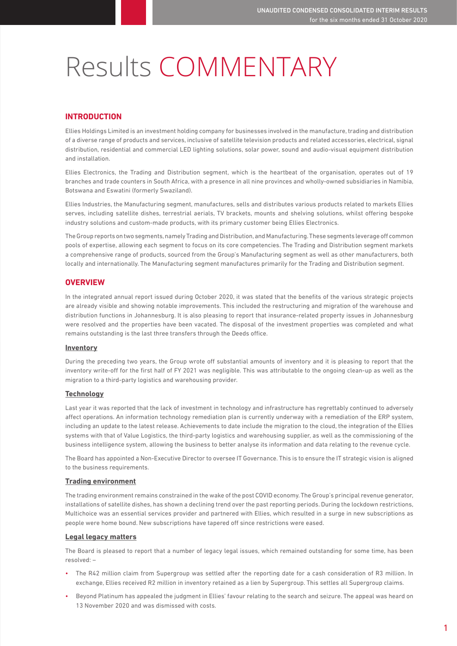# Results COMMENTARY

#### **INTRODUCTION**

Ellies Holdings Limited is an investment holding company for businesses involved in the manufacture, trading and distribution of a diverse range of products and services, inclusive of satellite television products and related accessories, electrical, signal distribution, residential and commercial LED lighting solutions, solar power, sound and audio-visual equipment distribution and installation.

Ellies Electronics, the Trading and Distribution segment, which is the heartbeat of the organisation, operates out of 19 branches and trade counters in South Africa, with a presence in all nine provinces and wholly-owned subsidiaries in Namibia, Botswana and Eswatini (formerly Swaziland).

Ellies Industries, the Manufacturing segment, manufactures, sells and distributes various products related to markets Ellies serves, including satellite dishes, terrestrial aerials, TV brackets, mounts and shelving solutions, whilst offering bespoke industry solutions and custom-made products, with its primary customer being Ellies Electronics.

The Group reports on two segments, namely Trading and Distribution, and Manufacturing. These segments leverage off common pools of expertise, allowing each segment to focus on its core competencies. The Trading and Distribution segment markets a comprehensive range of products, sourced from the Group's Manufacturing segment as well as other manufacturers, both locally and internationally. The Manufacturing segment manufactures primarily for the Trading and Distribution segment.

#### **OVERVIEW**

In the integrated annual report issued during October 2020, it was stated that the benefits of the various strategic projects are already visible and showing notable improvements. This included the restructuring and migration of the warehouse and distribution functions in Johannesburg. It is also pleasing to report that insurance-related property issues in Johannesburg were resolved and the properties have been vacated. The disposal of the investment properties was completed and what remains outstanding is the last three transfers through the Deeds office.

#### **Inventory**

During the preceding two years, the Group wrote off substantial amounts of inventory and it is pleasing to report that the inventory write-off for the first half of FY 2021 was negligible. This was attributable to the ongoing clean-up as well as the migration to a third-party logistics and warehousing provider.

#### **Technology**

Last year it was reported that the lack of investment in technology and infrastructure has regrettably continued to adversely affect operations. An information technology remediation plan is currently underway with a remediation of the ERP system, including an update to the latest release. Achievements to date include the migration to the cloud, the integration of the Ellies systems with that of Value Logistics, the third-party logistics and warehousing supplier, as well as the commissioning of the business intelligence system, allowing the business to better analyse its information and data relating to the revenue cycle.

The Board has appointed a Non-Executive Director to oversee IT Governance. This is to ensure the IT strategic vision is aligned to the business requirements.

#### **Trading environment**

The trading environment remains constrained in the wake of the post COVID economy. The Group's principal revenue generator, installations of satellite dishes, has shown a declining trend over the past reporting periods. During the lockdown restrictions, Multichoice was an essential services provider and partnered with Ellies, which resulted in a surge in new subscriptions as people were home bound. New subscriptions have tapered off since restrictions were eased.

#### **Legal legacy matters**

The Board is pleased to report that a number of legacy legal issues, which remained outstanding for some time, has been resolved: –

- The R42 million claim from Supergroup was settled after the reporting date for a cash consideration of R3 million. In exchange, Ellies received R2 million in inventory retained as a lien by Supergroup. This settles all Supergroup claims.
- Beyond Platinum has appealed the judgment in Ellies' favour relating to the search and seizure. The appeal was heard on 13 November 2020 and was dismissed with costs.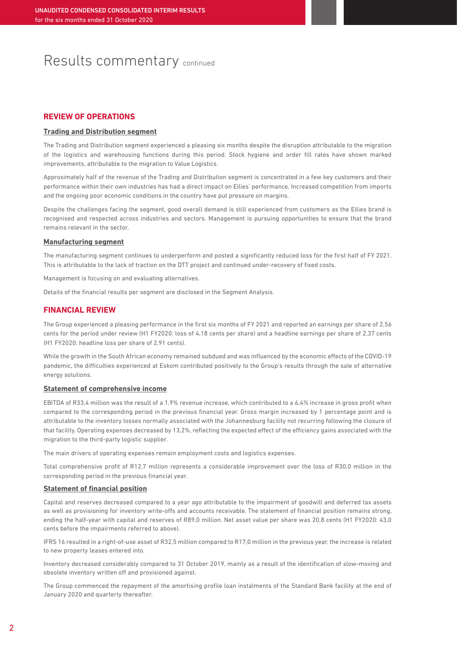## Results commentary continued

#### **REVIEW OF OPERATIONS**

#### **Trading and Distribution segment**

The Trading and Distribution segment experienced a pleasing six months despite the disruption attributable to the migration of the logistics and warehousing functions during this period. Stock hygiene and order fill rates have shown marked improvements, attributable to the migration to Value Logistics.

Approximately half of the revenue of the Trading and Distribution segment is concentrated in a few key customers and their performance within their own industries has had a direct impact on Ellies' performance. Increased competition from imports and the ongoing poor economic conditions in the country have put pressure on margins.

Despite the challenges facing the segment, good overall demand is still experienced from customers as the Ellies brand is recognised and respected across industries and sectors. Management is pursuing opportunities to ensure that the brand remains relevant in the sector.

#### **Manufacturing segment**

The manufacturing segment continues to underperform and posted a significantly reduced loss for the first half of FY 2021. This is attributable to the lack of traction on the DTT project and continued under-recovery of fixed costs.

Management is focusing on and evaluating alternatives.

Details of the financial results per segment are disclosed in the Segment Analysis.

#### **FINANCIAL REVIEW**

The Group experienced a pleasing performance in the first six months of FY 2021 and reported an earnings per share of 2,56 cents for the period under review (H1 FY2020: loss of 4,18 cents per share) and a headline earnings per share of 2,37 cents (H1 FY2020: headline loss per share of 2,91 cents).

While the growth in the South African economy remained subdued and was influenced by the economic effects of the COVID-19 pandemic, the difficulties experienced at Eskom contributed positively to the Group's results through the sale of alternative energy solutions.

#### **Statement of comprehensive income**

EBITDA of R33,4 million was the result of a 1,9% revenue increase, which contributed to a 6,4% increase in gross profit when compared to the corresponding period in the previous financial year. Gross margin increased by 1 percentage point and is attributable to the inventory losses normally associated with the Johannesburg facility not recurring following the closure of that facility. Operating expenses decreased by 13,2%, reflecting the expected effect of the efficiency gains associated with the migration to the third-party logistic supplier.

The main drivers of operating expenses remain employment costs and logistics expenses.

Total comprehensive profit of R12,7 million represents a considerable improvement over the loss of R30,0 million in the corresponding period in the previous financial year.

#### **Statement of financial position**

Capital and reserves decreased compared to a year ago attributable to the impairment of goodwill and deferred tax assets as well as provisioning for inventory write-offs and accounts receivable. The statement of financial position remains strong, ending the half-year with capital and reserves of R89,0 million. Net asset value per share was 20,8 cents (H1 FY2020: 43,0 cents before the impairments referred to above).

IFRS 16 resulted in a right-of-use asset of R32,5 million compared to R17,0 million in the previous year, the increase is related to new property leases entered into.

Inventory decreased considerably compared to 31 October 2019, mainly as a result of the identification of slow-moving and obsolete inventory written off and provisioned against.

The Group commenced the repayment of the amortising profile loan instalments of the Standard Bank facility at the end of January 2020 and quarterly thereafter.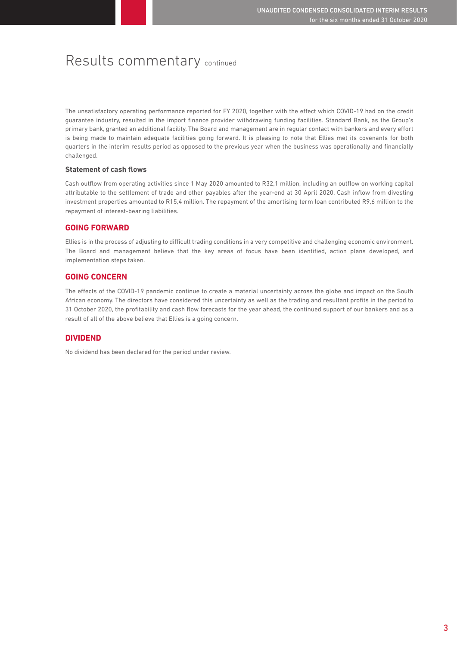## Results commentary continued

The unsatisfactory operating performance reported for FY 2020, together with the effect which COVID-19 had on the credit guarantee industry, resulted in the import finance provider withdrawing funding facilities. Standard Bank, as the Group's primary bank, granted an additional facility. The Board and management are in regular contact with bankers and every effort is being made to maintain adequate facilities going forward. It is pleasing to note that Ellies met its covenants for both quarters in the interim results period as opposed to the previous year when the business was operationally and financially challenged.

#### **Statement of cash flows**

Cash outflow from operating activities since 1 May 2020 amounted to R32,1 million, including an outflow on working capital attributable to the settlement of trade and other payables after the year-end at 30 April 2020. Cash inflow from divesting investment properties amounted to R15,4 million. The repayment of the amortising term loan contributed R9,6 million to the repayment of interest-bearing liabilities.

#### **GOING FORWARD**

Ellies is in the process of adjusting to difficult trading conditions in a very competitive and challenging economic environment. The Board and management believe that the key areas of focus have been identified, action plans developed, and implementation steps taken.

#### **GOING CONCERN**

The effects of the COVID-19 pandemic continue to create a material uncertainty across the globe and impact on the South African economy. The directors have considered this uncertainty as well as the trading and resultant profits in the period to 31 October 2020, the profitability and cash flow forecasts for the year ahead, the continued support of our bankers and as a result of all of the above believe that Ellies is a going concern.

#### **DIVIDEND**

No dividend has been declared for the period under review.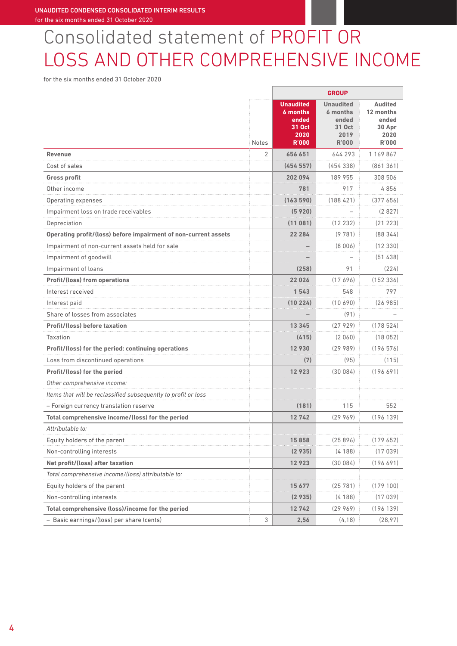# Consolidated statement of PROFIT OR LOSS AND OTHER COMPREHENSIVE INCOME

|                                                                 |                |                                                                         | <b>GROUP</b>                                                            |                                                                        |
|-----------------------------------------------------------------|----------------|-------------------------------------------------------------------------|-------------------------------------------------------------------------|------------------------------------------------------------------------|
|                                                                 | <b>Notes</b>   | <b>Unaudited</b><br>6 months<br>ended<br>31 Oct<br>2020<br><b>R'000</b> | <b>Unaudited</b><br>6 months<br>ended<br>31 Oct<br>2019<br><b>R'000</b> | <b>Audited</b><br>12 months<br>ended<br>30 Apr<br>2020<br><b>R'000</b> |
| <b>Revenue</b>                                                  | $\overline{2}$ | 656 651                                                                 | 644 293                                                                 | 1169867                                                                |
| Cost of sales                                                   |                | (454557)                                                                | (454338)                                                                | (861361)                                                               |
| <b>Gross profit</b>                                             |                | 202094                                                                  | 189 955                                                                 | 308 506                                                                |
| Other income                                                    |                | 781                                                                     | 917                                                                     | 4856                                                                   |
| Operating expenses                                              |                | (163590)                                                                | (188421)                                                                | (377656)                                                               |
| Impairment loss on trade receivables                            |                | (5920)                                                                  |                                                                         | (2827)                                                                 |
| Depreciation                                                    |                | (11 081)                                                                | (12 232)                                                                | (21 223)                                                               |
| Operating profit/(loss) before impairment of non-current assets |                | 22 284                                                                  | (9781)                                                                  | (88344)                                                                |
| Impairment of non-current assets held for sale                  |                |                                                                         | (8006)                                                                  | (12330)                                                                |
| Impairment of goodwill                                          |                |                                                                         |                                                                         | (51438)                                                                |
| Impairment of loans                                             |                | (258)                                                                   | 91                                                                      | (224)                                                                  |
| Profit/(loss) from operations                                   |                | 22026                                                                   | (17696)                                                                 | (152336)                                                               |
| Interest received                                               |                | 1543                                                                    | 548                                                                     | 797                                                                    |
| Interest paid                                                   |                | (10 224)                                                                | (10690)                                                                 | (26985)                                                                |
| Share of losses from associates                                 |                |                                                                         | (91)                                                                    |                                                                        |
| <b>Profit/(loss) before taxation</b>                            |                | 13 345                                                                  | (27929)                                                                 | (178524)                                                               |
| Taxation                                                        |                | (415)                                                                   | (2060)                                                                  | (18052)                                                                |
| Profit/(loss) for the period: continuing operations             |                | 12930                                                                   | (29989)                                                                 | (196576)                                                               |
| Loss from discontinued operations                               |                | (7)                                                                     | (95)                                                                    | (115)                                                                  |
| Profit/(loss) for the period                                    |                | 12 923                                                                  | (30084)                                                                 | (196691)                                                               |
| Other comprehensive income:                                     |                |                                                                         |                                                                         |                                                                        |
| Items that will be reclassified subsequently to profit or loss  |                |                                                                         |                                                                         |                                                                        |
| - Foreign currency translation reserve                          |                | (181)                                                                   | 115                                                                     | 552                                                                    |
| Total comprehensive income/(loss) for the period                |                | 12742                                                                   | (29969)                                                                 | (196139)                                                               |
| Attributable to:                                                |                |                                                                         |                                                                         |                                                                        |
| Equity holders of the parent                                    |                | 15858                                                                   | (25896)                                                                 | (179652)                                                               |
| Non-controlling interests                                       |                | (2935)                                                                  | (4188)                                                                  | (17039)                                                                |
| Net profit/(loss) after taxation                                |                | 12923                                                                   | (30084)                                                                 | (196691)                                                               |
| Total comprehensive income/(loss) attributable to:              |                |                                                                         |                                                                         |                                                                        |
| Equity holders of the parent                                    |                | 15 677                                                                  | (25781)                                                                 | (179100)                                                               |
| Non-controlling interests                                       |                | (2935)                                                                  | (4188)                                                                  | (17039)                                                                |
| Total comprehensive (loss)/income for the period                |                | 12742                                                                   | (29969)                                                                 | (196139)                                                               |
| - Basic earnings/(loss) per share (cents)                       | 3              | 2,56                                                                    | (4, 18)                                                                 | (28, 97)                                                               |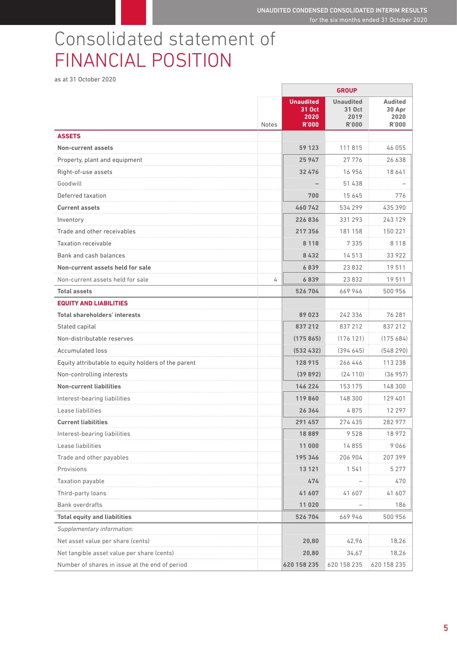# Consolidated statement of FINANCIAL POSITION

as at 31 October 2020

|                                                     |       |                                                    | <b>GROUP</b>                                       |                                                  |
|-----------------------------------------------------|-------|----------------------------------------------------|----------------------------------------------------|--------------------------------------------------|
|                                                     | Notes | <b>Unaudited</b><br>31 Oct<br>2020<br><b>R'000</b> | <b>Unaudited</b><br>31 Oct<br>2019<br><b>R'000</b> | <b>Audited</b><br>30 Apr<br>2020<br><b>R'000</b> |
| <b>ASSETS</b>                                       |       |                                                    |                                                    |                                                  |
| <b>Non-current assets</b>                           |       | 59 123                                             | 111815                                             | 46 055                                           |
| Property, plant and equipment                       |       | 25947                                              | 27776                                              | 26 638                                           |
| Right-of-use assets                                 |       | 32476                                              | 16956                                              | 18 641                                           |
| Goodwill                                            |       |                                                    | 51 438                                             |                                                  |
| Deferred taxation                                   |       | 700                                                | 15 645                                             | 776                                              |
| <b>Current assets</b>                               |       | 460742                                             | 534 299                                            | 435 390                                          |
| Inventory                                           |       | 226836                                             | 331 293                                            | 243 129                                          |
| Trade and other receivables                         |       | 217356                                             | 181 158                                            | 150 221                                          |
| <b>Taxation receivable</b>                          |       | 8 1 1 8                                            | 7 3 3 5                                            | 8 1 1 8                                          |
| Bank and cash balances                              |       | 8432                                               | 14513                                              | 33 922                                           |
| Non-current assets held for sale                    |       | 6839                                               | 23832                                              | 19511                                            |
| Non-current assets held for sale                    | 4     | 6839                                               | 23832                                              | 19511                                            |
| <b>Total assets</b>                                 |       | 526 704                                            | 669946                                             | 500 956                                          |
| <b>EQUITY AND LIABILITIES</b>                       |       |                                                    |                                                    |                                                  |
| <b>Total shareholders' interests</b>                |       | 89023                                              | 242 336                                            | 76 281                                           |
| Stated capital                                      |       | 837 212                                            | 837 212                                            | 837 212                                          |
| Non-distributable reserves                          |       | (175865)                                           | (176121)                                           | (175684)                                         |
| <b>Accumulated loss</b>                             |       | (532432)                                           | (394645)                                           | (548290)                                         |
| Equity attributable to equity holders of the parent |       | 128 915                                            | 266 446                                            | 113 238                                          |
| Non-controlling interests                           |       | (39892)                                            | (24110)                                            | (36957)                                          |
| <b>Non-current liabilities</b>                      |       | 146 224                                            | 153 175                                            | 148 300                                          |
| Interest-bearing liabilities                        |       | 119860                                             | 148 300                                            | 129 401                                          |
| Lease liabilities                                   |       | 26 364                                             | 4875                                               | 12 297                                           |
| <b>Current liabilities</b>                          |       | 291457                                             | 274 435                                            | 282 977                                          |
| Interest-bearing liabilities                        |       | 18 889                                             | 9528                                               | 18 972                                           |
| Lease liabilities                                   |       | 000                                                | 14855                                              | 9066                                             |
| Trade and other payables                            |       | 195 346                                            | 206 904                                            | 207 399                                          |
| Provisions                                          |       | 13 121                                             | 1541                                               | 5 2 7 7                                          |
| Taxation payable                                    |       | 474                                                |                                                    | 470                                              |
| Third-party loans                                   |       | 41 607                                             | 41 607                                             | 41 607                                           |
| <b>Bank overdrafts</b>                              |       | 11020                                              |                                                    | 186                                              |
| <b>Total equity and liabilities</b>                 |       | 526704                                             | 669946                                             | 500 956                                          |
| Supplementary information:                          |       |                                                    |                                                    |                                                  |
| Net asset value per share (cents)                   |       | 20.80                                              | 42,96                                              | 18,26                                            |
| Net tangible asset value per share (cents)          |       | 20,80                                              | 34,67                                              | 18,26                                            |
| Number of shares in issue at the end of period      |       | 620 158 235                                        | 620 158 235                                        | 620 158 235                                      |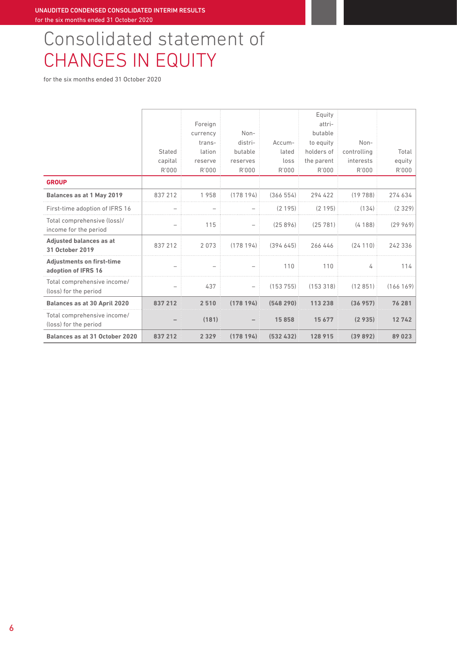UNAUDITED CONDENSED CONSOLIDATED INTERIM RESULTS for the six months ended 31 October 2020

# Consolidated statement of CHANGES IN EQUITY

|                                                         |                          |          |          |            | Equity     |             |          |
|---------------------------------------------------------|--------------------------|----------|----------|------------|------------|-------------|----------|
|                                                         |                          | Foreign  |          |            | attri-     |             |          |
|                                                         |                          | currency | Non-     |            | butable    |             |          |
|                                                         |                          | trans-   | distri-  | Accum-     | to equity  | Non-        |          |
|                                                         | Stated                   | lation   | butable  | lated      | holders of | controlling | Total    |
|                                                         | capital                  | reserve  | reserves | loss       | the parent | interests   | equity   |
|                                                         | R'000                    | R'000    | R'000    | R'000      | R'000      | R'000       | R'000    |
| <b>GROUP</b>                                            |                          |          |          |            |            |             |          |
| Balances as at 1 May 2019                               | 837 212                  | 1958     | (178194) | (366554)   | 294 422    | (19788)     | 274 634  |
| First-time adoption of IFRS 16                          |                          |          |          | (2195)     | (2195)     | (134)       | (2329)   |
| Total comprehensive (loss)/<br>income for the period    | $\overline{\phantom{0}}$ | 115      | -        | (25896)    | (25781)    | (4188)      | (29969)  |
| <b>Adjusted balances as at</b><br>31 October 2019       | 837 212                  | 2073     | (178194) | (394645)   | 266 446    | (24110)     | 242 336  |
| <b>Adjustments on first-time</b><br>adoption of IFRS 16 |                          |          |          | 110        | 110        | 4           | 114      |
| Total comprehensive income/<br>(loss) for the period    | $\overline{\phantom{0}}$ | 437      | -        | (15375)    | (153318)   | (12851)     | (166169) |
| <b>Balances as at 30 April 2020</b>                     | 837 212                  | 2510     | (178194) | (548290)   | 113 238    | (36957)     | 76 281   |
| Total comprehensive income/<br>(loss) for the period    |                          | (181)    |          | 15858      | 15 677     | (2935)      | 12742    |
| Balances as at 31 October 2020                          | 837 212                  | 2 3 2 9  | (178194) | (532, 432) | 128 915    | (39892)     | 89023    |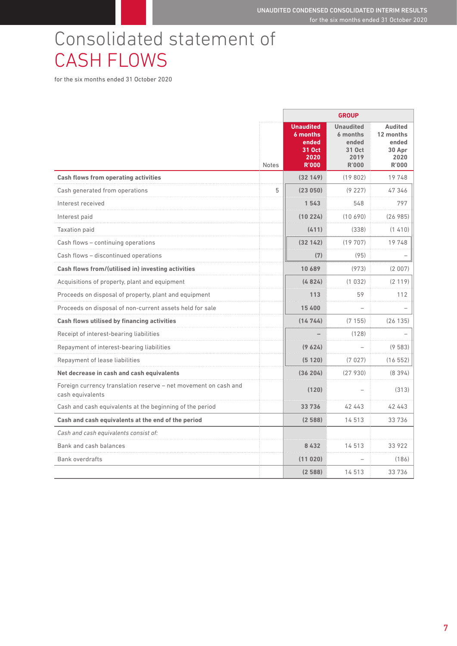# Consolidated statement of CASH FLOWS

|                                                                                     |              |                                                                         | <b>GROUP</b>                                                            |                                                                 |
|-------------------------------------------------------------------------------------|--------------|-------------------------------------------------------------------------|-------------------------------------------------------------------------|-----------------------------------------------------------------|
|                                                                                     | <b>Notes</b> | <b>Unaudited</b><br>6 months<br>ended<br>31 Oct<br>2020<br><b>R'000</b> | <b>Unaudited</b><br>6 months<br>ended<br>31 Oct<br>2019<br><b>R'000</b> | <b>Audited</b><br>12 months<br>ended<br>30 Apr<br>2020<br>R'000 |
| <b>Cash flows from operating activities</b>                                         |              | (32149)                                                                 | (19802)                                                                 | 19748                                                           |
| Cash generated from operations                                                      | 5            | (23050)                                                                 | (9227)                                                                  | 47346                                                           |
| Interest received                                                                   |              | 1543                                                                    | 548                                                                     | 797                                                             |
| Interest paid                                                                       |              | (10224)                                                                 | (10690)                                                                 | (26985)                                                         |
| <b>Taxation paid</b>                                                                |              | (411)                                                                   | (338)                                                                   | (1410)                                                          |
| Cash flows - continuing operations                                                  |              | (32142)                                                                 | (19707)                                                                 | 19748                                                           |
| Cash flows - discontinued operations                                                |              | (7)                                                                     | (95)                                                                    |                                                                 |
| Cash flows from/(utilised in) investing activities                                  |              | 10 689                                                                  | (973)                                                                   | (2007)                                                          |
| Acquisitions of property, plant and equipment                                       |              | (4824)                                                                  | (1032)                                                                  | (2119)                                                          |
| Proceeds on disposal of property, plant and equipment                               |              | 113                                                                     | 59                                                                      | 112                                                             |
| Proceeds on disposal of non-current assets held for sale                            |              | 15 400                                                                  |                                                                         |                                                                 |
| Cash flows utilised by financing activities                                         |              | (1474)                                                                  | (7155)                                                                  | (26135)                                                         |
| Receipt of interest-bearing liabilities                                             |              |                                                                         | (128)                                                                   |                                                                 |
| Repayment of interest-bearing liabilities                                           |              | (9624)                                                                  |                                                                         | (9583)                                                          |
| Repayment of lease liabilities                                                      |              | (5120)                                                                  | (7027)                                                                  | (16552)                                                         |
| Net decrease in cash and cash equivalents                                           |              | (36204)                                                                 | (27930)                                                                 | (8394)                                                          |
| Foreign currency translation reserve - net movement on cash and<br>cash equivalents |              | (120)                                                                   |                                                                         | (313)                                                           |
| Cash and cash equivalents at the beginning of the period                            |              | 33736                                                                   | 42 443                                                                  | 42 443                                                          |
| Cash and cash equivalents at the end of the period                                  |              | (2588)                                                                  | 14513                                                                   | 33736                                                           |
| Cash and cash equivalents consist of:                                               |              |                                                                         |                                                                         |                                                                 |
| Bank and cash balances                                                              |              | 8 4 3 2                                                                 | 14513                                                                   | 33 922                                                          |
| <b>Bank overdrafts</b>                                                              |              | (11020)                                                                 |                                                                         | (186)                                                           |
|                                                                                     |              | (2588)                                                                  | 14513                                                                   | 33736                                                           |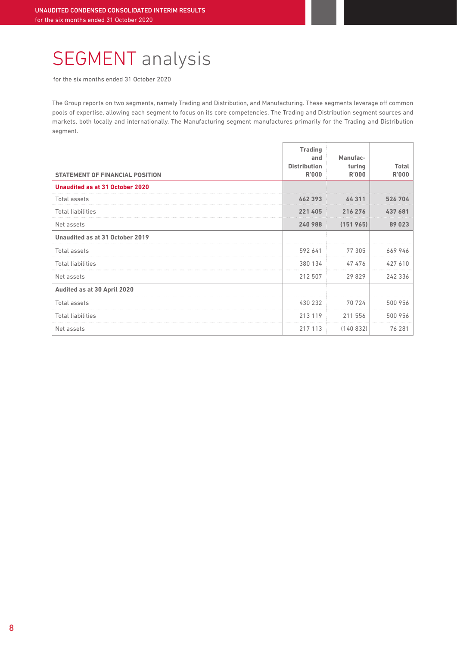# SEGMENT analysis

for the six months ended 31 October 2020

The Group reports on two segments, namely Trading and Distribution, and Manufacturing. These segments leverage off common pools of expertise, allowing each segment to focus on its core competencies. The Trading and Distribution segment sources and markets, both locally and internationally. The Manufacturing segment manufactures primarily for the Trading and Distribution segment.

|                                        | <b>Trading</b><br>and<br><b>Distribution</b> | Manufac-<br>turing | Total        |
|----------------------------------------|----------------------------------------------|--------------------|--------------|
| <b>STATEMENT OF FINANCIAL POSITION</b> | <b>R'000</b>                                 | <b>R'000</b>       | <b>R'000</b> |
| Unaudited as at 31 October 2020        |                                              |                    |              |
| Total assets                           | 462 393                                      | 64 311             | 526 704      |
| <b>Total liabilities</b>               | 221405                                       | 216 276            | 437 681      |
| Net assets                             | 240 988                                      | (151965)           | 89023        |
| Unaudited as at 31 October 2019        |                                              |                    |              |
| Total assets                           | 592 641                                      | 77 305             | 669946       |
| <b>Total liabilities</b>               | 380 134                                      | 47476              | 427 610      |
| Net assets                             | 212 507                                      | 29829              | 242 336      |
| Audited as at 30 April 2020            |                                              |                    |              |
| Total assets                           | 430 232                                      | 70 724             | 500 956      |
| <b>Total liabilities</b>               | 213 119                                      | 211 556            | 500 956      |
| Net assets                             | 217 113                                      | (140832)           | 76 281       |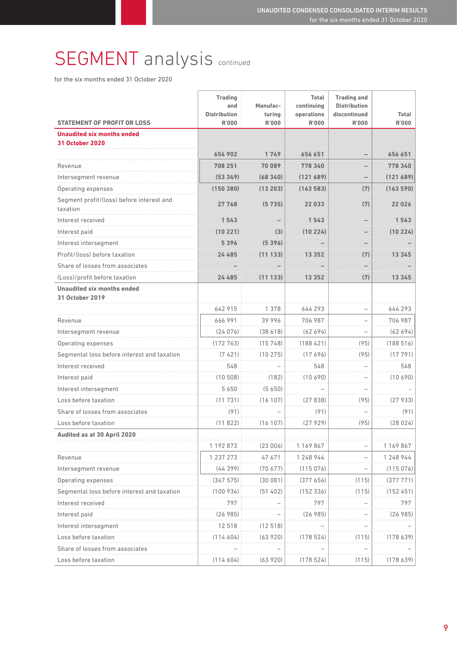# SEGMENT analysis continued

|                                                      | <b>Trading</b><br>and               | Manufac-               | <b>Total</b><br>continuing | <b>Trading and</b><br><b>Distribution</b><br>discontinued |                        |
|------------------------------------------------------|-------------------------------------|------------------------|----------------------------|-----------------------------------------------------------|------------------------|
| <b>STATEMENT OF PROFIT OR LOSS</b>                   | <b>Distribution</b><br><b>R'000</b> | turing<br><b>R'000</b> | operations<br><b>R'000</b> | R'000                                                     | Total<br>R'000         |
| <b>Unaudited six months ended</b>                    |                                     |                        |                            |                                                           |                        |
| 31 October 2020                                      | 654 902                             | 1749                   | 656 651                    |                                                           | 656 651                |
| Revenue                                              | 708 251                             | 70089                  | 778 340                    |                                                           | 778 340                |
| Intersegment revenue                                 | (53349)                             | (68340)                | (121689)                   |                                                           | .                      |
| Operating expenses                                   | (150, 380)                          | (13203)                | (163583)                   | (7)                                                       | (121 689)<br>(163 590) |
| Segment profit/(loss) before interest and            |                                     |                        |                            |                                                           |                        |
| taxation                                             | 27768                               | (5735)                 | 22 033                     | (7)                                                       | 22026                  |
| Interest received                                    | 1543                                |                        | 1543                       |                                                           | 1543                   |
| Interest paid                                        | (10 221)                            | (3)                    | (10 224)                   |                                                           | (10224)                |
| Interest intersegment                                | 5396                                | (5 396)                |                            |                                                           |                        |
| Profit/(loss) before taxation                        | 24 485                              | 133                    | 13 352                     | (7                                                        | 3 3 4 5                |
| Share of losses from associates                      |                                     |                        |                            |                                                           |                        |
| (Loss)/profit before taxation                        | 24 485                              | (11133)                | 13 3 5 2                   | (7)                                                       | 13 345                 |
| <b>Unaudited six months ended</b><br>31 October 2019 |                                     |                        |                            |                                                           |                        |
|                                                      | 642 915                             | 1 3 7 8                | 644 293                    |                                                           | 644 293                |
| Revenue                                              | 666 991                             | 39 996                 | 706 987                    | ÷                                                         | 706 987                |
| Intersegment revenue                                 | (24076)                             | (38618)                | (62694)                    |                                                           | (62694)                |
| Operating expenses                                   | (172763)                            | (15748)                | (188421)                   | (95)                                                      | (188516)               |
| Segmental loss before interest and taxation          | (7, 421)                            | (10275)                | (17696)                    | (95)                                                      | (17791)                |
| Interest received                                    | 548                                 |                        | 548                        |                                                           | 548                    |
| Interest paid                                        | (10508)                             | (182)                  | (10690)                    |                                                           | (10690)                |
| Interest intersegment                                | 5 650                               | (5,650)                |                            |                                                           |                        |
| Loss before taxation                                 | (11731)                             | (16107)                | (27838)                    | (95)                                                      | (27933)                |
| Share of losses from associates                      | (91)                                |                        | (91)                       |                                                           | (91)                   |
| Loss before taxation                                 | (11822)                             | (16107)                | (27929)                    | (95)                                                      | (28024)                |
| Audited as at 30 April 2020                          |                                     |                        |                            |                                                           |                        |
|                                                      | 1 192 873                           | (23006)                | 1 169 867                  |                                                           | 1 169 867              |
| Revenue                                              | 1 237 273                           | 47 671                 | 1 248 944                  |                                                           | 1 248 944              |
| Intersegment revenue                                 | (44399)                             | (70677)                | (115076)                   |                                                           | (115076)               |
| Operating expenses                                   | (347575)                            | (30081)                | (377656)                   | (115)                                                     | (377 771)              |
| Segmental loss before interest and taxation          | (100934)                            | (51402)                | (152336)                   | (115)                                                     | (152451)               |
| Interest received                                    | 797                                 |                        | 797                        |                                                           | 797                    |
| Interest paid                                        | (26985)                             |                        | (26985)                    |                                                           | (26 985)               |
| Interest intersegment                                | 12 518                              | (12518)                |                            |                                                           |                        |
| Loss before taxation                                 | (114604)                            | (63920)                | (178524)                   | (115)                                                     | (178 639)              |
| Share of losses from associates                      |                                     |                        |                            |                                                           |                        |
| Loss before taxation                                 | (114604)                            | (63920)                | (178524)                   | (115)                                                     | (178639)               |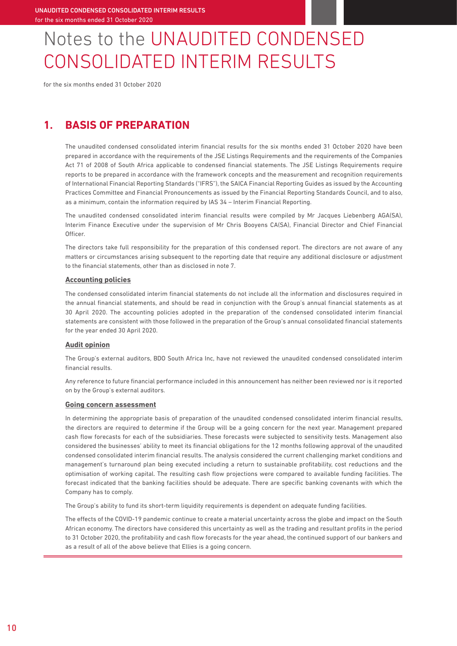# Notes to the UNAUDITED CONDENSED CONSOLIDATED INTERIM RESULTS

for the six months ended 31 October 2020

### **1. BASIS OF PREPARATION**

 The unaudited condensed consolidated interim financial results for the six months ended 31 October 2020 have been prepared in accordance with the requirements of the JSE Listings Requirements and the requirements of the Companies Act 71 of 2008 of South Africa applicable to condensed financial statements. The JSE Listings Requirements require reports to be prepared in accordance with the framework concepts and the measurement and recognition requirements of International Financial Reporting Standards ("IFRS"), the SAICA Financial Reporting Guides as issued by the Accounting Practices Committee and Financial Pronouncements as issued by the Financial Reporting Standards Council, and to also, as a minimum, contain the information required by IAS 34 – Interim Financial Reporting.

 The unaudited condensed consolidated interim financial results were compiled by Mr Jacques Liebenberg AGA(SA), Interim Finance Executive under the supervision of Mr Chris Booyens CA(SA), Financial Director and Chief Financial Officer.

 The directors take full responsibility for the preparation of this condensed report. The directors are not aware of any matters or circumstances arising subsequent to the reporting date that require any additional disclosure or adjustment to the financial statements, other than as disclosed in note 7.

#### **Accounting policies**

 The condensed consolidated interim financial statements do not include all the information and disclosures required in the annual financial statements, and should be read in conjunction with the Group's annual financial statements as at 30 April 2020. The accounting policies adopted in the preparation of the condensed consolidated interim financial statements are consistent with those followed in the preparation of the Group's annual consolidated financial statements for the year ended 30 April 2020.

#### **Audit opinion**

 The Group's external auditors, BDO South Africa Inc, have not reviewed the unaudited condensed consolidated interim financial results.

 Any reference to future financial performance included in this announcement has neither been reviewed nor is it reported on by the Group's external auditors.

#### **Going concern assessment**

 In determining the appropriate basis of preparation of the unaudited condensed consolidated interim financial results, the directors are required to determine if the Group will be a going concern for the next year. Management prepared cash flow forecasts for each of the subsidiaries. These forecasts were subjected to sensitivity tests. Management also considered the businesses' ability to meet its financial obligations for the 12 months following approval of the unaudited condensed consolidated interim financial results. The analysis considered the current challenging market conditions and management's turnaround plan being executed including a return to sustainable profitability, cost reductions and the optimisation of working capital. The resulting cash flow projections were compared to available funding facilities. The forecast indicated that the banking facilities should be adequate. There are specific banking covenants with which the Company has to comply.

The Group's ability to fund its short-term liquidity requirements is dependent on adequate funding facilities.

 The effects of the COVID-19 pandemic continue to create a material uncertainty across the globe and impact on the South African economy. The directors have considered this uncertainty as well as the trading and resultant profits in the period to 31 October 2020, the profitability and cash flow forecasts for the year ahead, the continued support of our bankers and as a result of all of the above believe that Ellies is a going concern.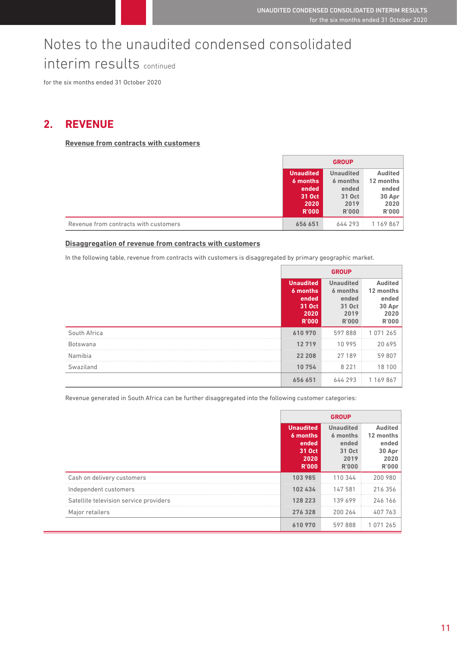## Notes to the unaudited condensed consolidated interim results continued

for the six months ended 31 October 2020

### **2. REVENUE**

**Revenue from contracts with customers**

|                                       | <b>GROUP</b>     |                  |                |
|---------------------------------------|------------------|------------------|----------------|
|                                       | <b>Unaudited</b> | <b>Unaudited</b> | <b>Audited</b> |
|                                       | 6 months         | 6 months         | 12 months      |
|                                       | ended            | ended            | ended          |
|                                       | 31 Oct           | 31 Oct           | 30 Apr         |
|                                       | 2020             | 2019             | 2020           |
|                                       | <b>R'000</b>     | <b>R'000</b>     | <b>R'000</b>   |
| Revenue from contracts with customers | 656 651          | 644 293          | 1 169 867      |

#### **Disaggregation of revenue from contracts with customers**

In the following table, revenue from contracts with customers is disaggregated by primary geographic market.

|                 | <b>GROUP</b>                                                            |                                                                         |                                                                        |
|-----------------|-------------------------------------------------------------------------|-------------------------------------------------------------------------|------------------------------------------------------------------------|
|                 | <b>Unaudited</b><br>6 months<br>ended<br>31 Oct<br>2020<br><b>R'000</b> | <b>Unaudited</b><br>6 months<br>ended<br>31 Oct<br>2019<br><b>R'000</b> | <b>Audited</b><br>12 months<br>ended<br>30 Apr<br>2020<br><b>R'000</b> |
| South Africa    | 610970                                                                  | 597888                                                                  | 265<br>1 071                                                           |
| <b>Botswana</b> | 719<br>                                                                 | 10 995                                                                  |                                                                        |
| Namibia         | 22 208                                                                  | 27 189<br>.                                                             | 59807                                                                  |
| Swaziland       | 10754                                                                   | 8 2 2 1                                                                 | 18 100                                                                 |
|                 | 656 651                                                                 | 644 293                                                                 | 1169867                                                                |

Revenue generated in South Africa can be further disaggregated into the following customer categories:

|                                        | <b>GROUP</b>                                                            |                                                                         |                                                                   |
|----------------------------------------|-------------------------------------------------------------------------|-------------------------------------------------------------------------|-------------------------------------------------------------------|
|                                        | <b>Unaudited</b><br>6 months<br>ended<br>31 Oct<br>2020<br><b>R'000</b> | <b>Unaudited</b><br>6 months<br>ended<br>31 Oct<br>2019<br><b>R'000</b> | <b>Audited</b><br>12 months<br>ended<br>$30$ Apr<br>2020<br>R'000 |
| Cash on delivery customers             | 103 985                                                                 | 110 344                                                                 | 200 980                                                           |
| Independent customers                  | 102 434                                                                 | 147581                                                                  | 216 356                                                           |
| Satellite television service providers | 128 223                                                                 | 139 699                                                                 | 246 166                                                           |
| Major retailers                        | 276328                                                                  | 200 264                                                                 | 407 763                                                           |
|                                        | 610970                                                                  | 597888                                                                  |                                                                   |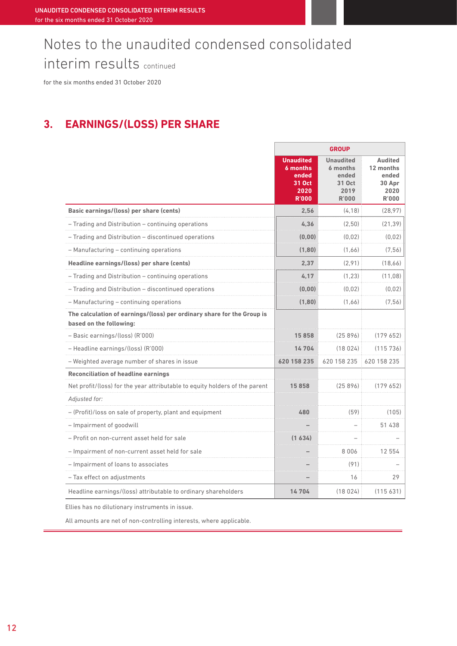# Notes to the unaudited condensed consolidated

interim results continued

for the six months ended 31 October 2020

### **3. EARNINGS/(LOSS) PER SHARE**

|                                                                                                   | <b>GROUP</b>                                                            |                                                                  |                                                                 |
|---------------------------------------------------------------------------------------------------|-------------------------------------------------------------------------|------------------------------------------------------------------|-----------------------------------------------------------------|
|                                                                                                   | <b>Unaudited</b><br>6 months<br>ended<br>31 Oct<br>2020<br><b>R'000</b> | <b>Unaudited</b><br>6 months<br>ended<br>31 Oct<br>2019<br>R'000 | <b>Audited</b><br>12 months<br>ended<br>30 Apr<br>2020<br>R'000 |
| Basic earnings/(loss) per share (cents)                                                           | 2.56                                                                    | (4.18)                                                           | (28, 97)                                                        |
| - Trading and Distribution - continuing operations                                                | 4,36                                                                    | (2,50)                                                           | (21, 39)                                                        |
| - Trading and Distribution - discontinued operations                                              | (0.00)                                                                  | (0,02)                                                           | (0,02)                                                          |
| - Manufacturing - continuing operations                                                           | (1.80)                                                                  | (1,66)                                                           | (7,56)                                                          |
| Headline earnings/(loss) per share (cents)                                                        | 2.37                                                                    | (2, 91)                                                          | (18,66)                                                         |
| - Trading and Distribution - continuing operations                                                | 4.17                                                                    | (1, 23)                                                          | (11,08)                                                         |
| - Trading and Distribution - discontinued operations                                              | (0.00)                                                                  | (0,02)                                                           | (0,02)                                                          |
| - Manufacturing - continuing operations                                                           | (1, 80)                                                                 | (1,66)                                                           | (7,56)                                                          |
| The calculation of earnings/(loss) per ordinary share for the Group is<br>based on the following: |                                                                         |                                                                  |                                                                 |
| - Basic earnings/(loss) (R'000)                                                                   | 15858                                                                   | (25896)                                                          | (179652)                                                        |
| - Headline earnings/(loss) (R'000)                                                                | 14 704                                                                  | (18024)                                                          | (115736)                                                        |
| - Weighted average number of shares in issue                                                      | 620 158 235                                                             | 620 158 235                                                      | 620 158 235                                                     |
| <b>Reconciliation of headline earnings</b>                                                        |                                                                         |                                                                  |                                                                 |
| Net profit/(loss) for the year attributable to equity holders of the parent                       | 15 858                                                                  | (25896)                                                          | (179652)                                                        |
| Adjusted for:                                                                                     |                                                                         |                                                                  |                                                                 |
| - (Profit)/loss on sale of property, plant and equipment                                          | 480                                                                     | (59)                                                             | (105)                                                           |
| - Impairment of goodwill                                                                          |                                                                         |                                                                  | 51 438                                                          |
| - Profit on non-current asset held for sale                                                       | (1634)                                                                  |                                                                  |                                                                 |
| - Impairment of non-current asset held for sale                                                   |                                                                         | 8006                                                             | 12 554                                                          |
| - Impairment of loans to associates                                                               |                                                                         | (91)                                                             |                                                                 |
| - Tax effect on adjustments                                                                       |                                                                         | 16                                                               | 29                                                              |
| Headline earnings/(loss) attributable to ordinary shareholders                                    | 14704                                                                   | (18024)                                                          | (115631)                                                        |

Ellies has no dilutionary instruments in issue.

All amounts are net of non-controlling interests, where applicable.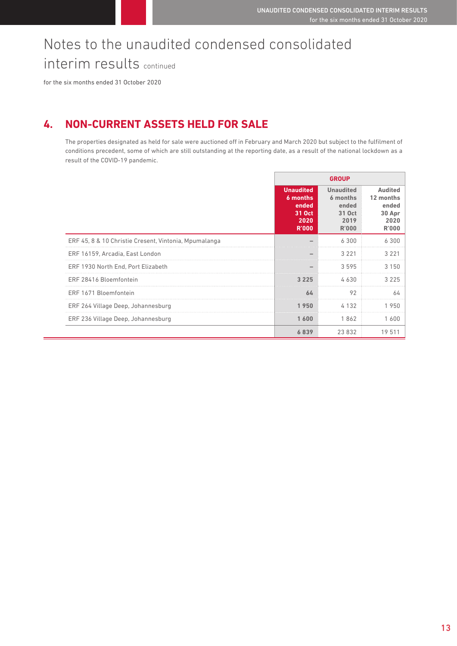### Notes to the unaudited condensed consolidated interim results continued

for the six months ended 31 October 2020

### **4. NON-CURRENT ASSETS HELD FOR SALE**

 The properties designated as held for sale were auctioned off in February and March 2020 but subject to the fulfilment of conditions precedent, some of which are still outstanding at the reporting date, as a result of the national lockdown as a result of the COVID-19 pandemic.

|                                                       |                                                                         | <b>GROUP</b>                                                            |                                                                        |  |
|-------------------------------------------------------|-------------------------------------------------------------------------|-------------------------------------------------------------------------|------------------------------------------------------------------------|--|
|                                                       | <b>Unaudited</b><br>6 months<br>ended<br>31 Oct<br>2020<br><b>R'000</b> | <b>Unaudited</b><br>6 months<br>ended<br>31 Oct<br>2019<br><b>R'000</b> | <b>Audited</b><br>12 months<br>ended<br>30 Apr<br>2020<br><b>R'000</b> |  |
| ERF 45, 8 & 10 Christie Cresent, Vintonia, Mpumalanga |                                                                         | 6300                                                                    | 6300                                                                   |  |
| ERF 16159, Arcadia, East London                       |                                                                         | 3 2 2 1                                                                 | 3 2 2 1                                                                |  |
| ERF 1930 North End, Port Elizabeth                    |                                                                         | 3595                                                                    | 3 1 5 0                                                                |  |
| ERF 28416 Bloemfontein                                | 3 2 2 5                                                                 | 4630                                                                    | 3 2 2 5                                                                |  |
| ERF 1671 Bloemfontein                                 | 64                                                                      | 92                                                                      | 64                                                                     |  |
| ERF 264 Village Deep, Johannesburg                    | 1950                                                                    | 4 1 3 2                                                                 | 1950                                                                   |  |
| ERF 236 Village Deep, Johannesburg                    | 1600                                                                    | 1862                                                                    | 1600                                                                   |  |
|                                                       | 6839                                                                    | 23832                                                                   | 1951                                                                   |  |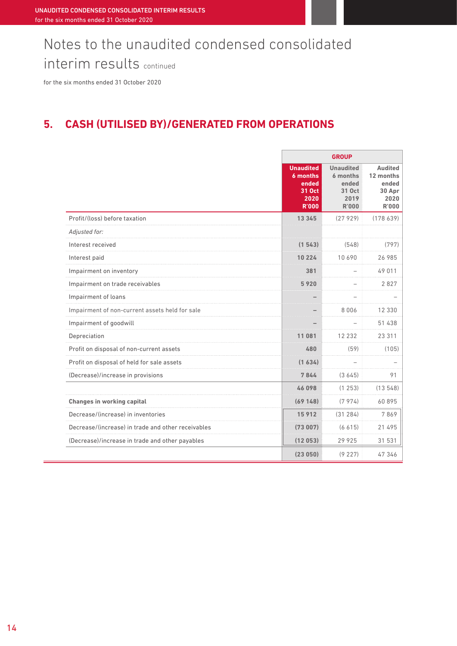# Notes to the unaudited condensed consolidated

interim results continued

for the six months ended 31 October 2020

### **5. CASH (UTILISED BY)/GENERATED FROM OPERATIONS**

|                                                    |                                                                         | <b>GROUP</b>                                                     |                                                                        |  |
|----------------------------------------------------|-------------------------------------------------------------------------|------------------------------------------------------------------|------------------------------------------------------------------------|--|
|                                                    | <b>Unaudited</b><br>6 months<br>ended<br>31 Oct<br>2020<br><b>R'000</b> | <b>Unaudited</b><br>6 months<br>ended<br>31 Oct<br>2019<br>R'000 | <b>Audited</b><br>12 months<br>ended<br>30 Apr<br>2020<br><b>R'000</b> |  |
| Profit/(loss) before taxation                      | 13 345                                                                  | (27929)                                                          | (178639)                                                               |  |
| Adjusted for:                                      |                                                                         |                                                                  |                                                                        |  |
| Interest received                                  | (1543)                                                                  | (548)                                                            | (797)                                                                  |  |
| Interest paid                                      | 10 224                                                                  | 10 690                                                           | 26 985                                                                 |  |
| Impairment on inventory                            | 381                                                                     |                                                                  | 49 0 11                                                                |  |
| Impairment on trade receivables                    | 5920                                                                    |                                                                  | 2827                                                                   |  |
| Impairment of loans                                |                                                                         |                                                                  |                                                                        |  |
| Impairment of non-current assets held for sale     |                                                                         | 8006                                                             | 12 3 3 0                                                               |  |
| Impairment of goodwill                             |                                                                         |                                                                  | 51 438                                                                 |  |
| Depreciation                                       | 11 081                                                                  | 12 2 3 2                                                         | 23 311                                                                 |  |
| Profit on disposal of non-current assets           | 480                                                                     | (59)                                                             | (105)                                                                  |  |
| Profit on disposal of held for sale assets         | (1 634)                                                                 |                                                                  |                                                                        |  |
| (Decrease)/increase in provisions                  | 7844                                                                    | (3645)                                                           | 91                                                                     |  |
|                                                    | 46098                                                                   | (1253)                                                           | (13548)                                                                |  |
| <b>Changes in working capital</b>                  | (69148)                                                                 | (7974)                                                           | 60895                                                                  |  |
| Decrease/(increase) in inventories                 | 15912                                                                   | (31284)                                                          | 7869                                                                   |  |
| Decrease/(increase) in trade and other receivables | (73 007)                                                                | (6615)                                                           | 21 495                                                                 |  |
| (Decrease)/increase in trade and other payables    | (12053)                                                                 | 29 9 25                                                          | 31 531                                                                 |  |
|                                                    | (23050)                                                                 | (9 227)                                                          | 47346                                                                  |  |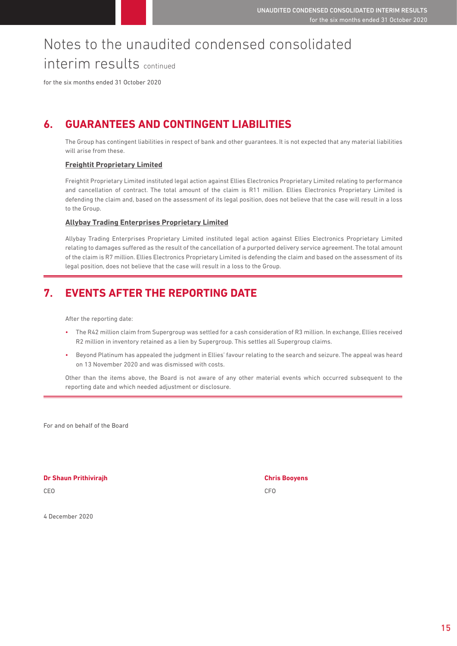### Notes to the unaudited condensed consolidated interim results continued

for the six months ended 31 October 2020

### **6. GUARANTEES AND CONTINGENT LIABILITIES**

 The Group has contingent liabilities in respect of bank and other guarantees. It is not expected that any material liabilities will arise from these.

#### **Freightit Proprietary Limited**

 Freightit Proprietary Limited instituted legal action against Ellies Electronics Proprietary Limited relating to performance and cancellation of contract. The total amount of the claim is R11 million. Ellies Electronics Proprietary Limited is defending the claim and, based on the assessment of its legal position, does not believe that the case will result in a loss to the Group.

#### **Allybay Trading Enterprises Proprietary Limited**

 Allybay Trading Enterprises Proprietary Limited instituted legal action against Ellies Electronics Proprietary Limited relating to damages suffered as the result of the cancellation of a purported delivery service agreement. The total amount of the claim is R7 million. Ellies Electronics Proprietary Limited is defending the claim and based on the assessment of its legal position, does not believe that the case will result in a loss to the Group.

### **7. EVENTS AFTER THE REPORTING DATE**

After the reporting date:

- The R42 million claim from Supergroup was settled for a cash consideration of R3 million. In exchange, Ellies received R2 million in inventory retained as a lien by Supergroup. This settles all Supergroup claims.
- Beyond Platinum has appealed the judgment in Ellies' favour relating to the search and seizure. The appeal was heard on 13 November 2020 and was dismissed with costs.

 Other than the items above, the Board is not aware of any other material events which occurred subsequent to the reporting date and which needed adjustment or disclosure.

For and on behalf of the Board

**Dr Shaun Prithivirajh Chris Booyens**

4 December 2020



CEO CFO